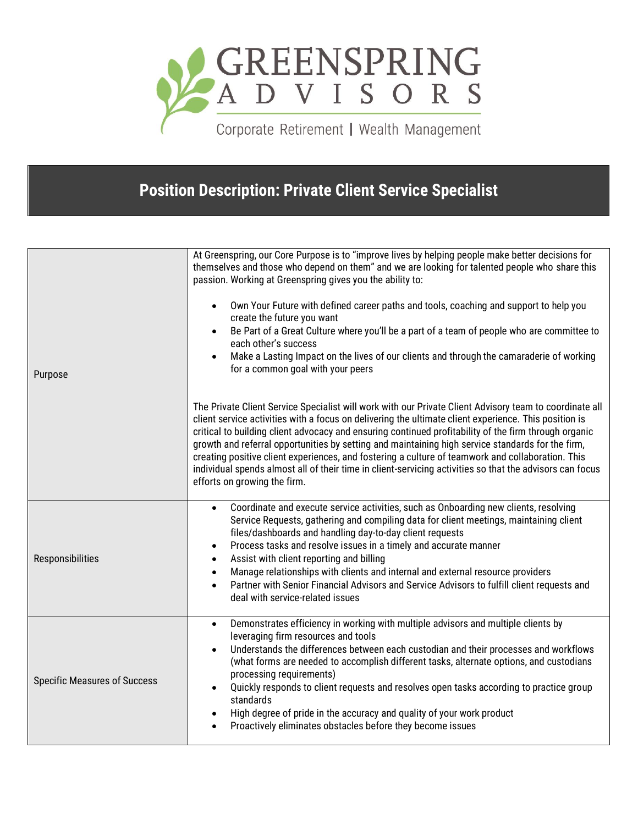

Corporate Retirement | Wealth Management

## **Position Description: Private Client Service Specialist**

| Purpose                             | At Greenspring, our Core Purpose is to "improve lives by helping people make better decisions for<br>themselves and those who depend on them" and we are looking for talented people who share this<br>passion. Working at Greenspring gives you the ability to:<br>Own Your Future with defined career paths and tools, coaching and support to help you<br>create the future you want<br>Be Part of a Great Culture where you'll be a part of a team of people who are committee to<br>each other's success<br>Make a Lasting Impact on the lives of our clients and through the camaraderie of working<br>for a common goal with your peers                                  |
|-------------------------------------|---------------------------------------------------------------------------------------------------------------------------------------------------------------------------------------------------------------------------------------------------------------------------------------------------------------------------------------------------------------------------------------------------------------------------------------------------------------------------------------------------------------------------------------------------------------------------------------------------------------------------------------------------------------------------------|
|                                     | The Private Client Service Specialist will work with our Private Client Advisory team to coordinate all<br>client service activities with a focus on delivering the ultimate client experience. This position is<br>critical to building client advocacy and ensuring continued profitability of the firm through organic<br>growth and referral opportunities by setting and maintaining high service standards for the firm,<br>creating positive client experiences, and fostering a culture of teamwork and collaboration. This<br>individual spends almost all of their time in client-servicing activities so that the advisors can focus<br>efforts on growing the firm. |
| Responsibilities                    | Coordinate and execute service activities, such as Onboarding new clients, resolving<br>$\bullet$<br>Service Requests, gathering and compiling data for client meetings, maintaining client<br>files/dashboards and handling day-to-day client requests<br>Process tasks and resolve issues in a timely and accurate manner<br>Assist with client reporting and billing<br>Manage relationships with clients and internal and external resource providers<br>$\bullet$<br>Partner with Senior Financial Advisors and Service Advisors to fulfill client requests and<br>deal with service-related issues                                                                        |
| <b>Specific Measures of Success</b> | Demonstrates efficiency in working with multiple advisors and multiple clients by<br>$\bullet$<br>leveraging firm resources and tools<br>Understands the differences between each custodian and their processes and workflows<br>(what forms are needed to accomplish different tasks, alternate options, and custodians<br>processing requirements)<br>Quickly responds to client requests and resolves open tasks according to practice group<br>standards<br>High degree of pride in the accuracy and quality of your work product<br>$\bullet$<br>Proactively eliminates obstacles before they become issues                                                                |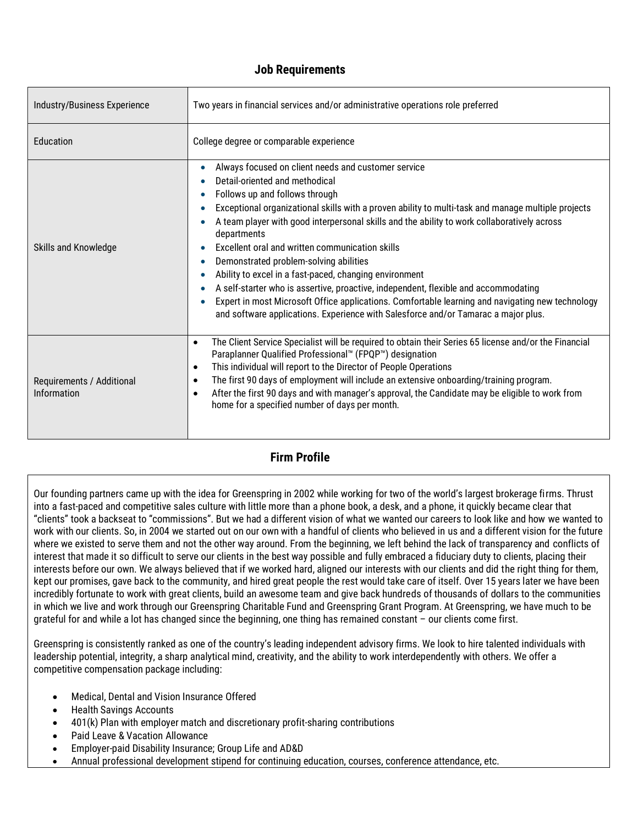## **Job Requirements**

| Industry/Business Experience             | Two years in financial services and/or administrative operations role preferred                                                                                                                                                                                                                                                                                                                                                                                                                                                                                                                                                                                                                                                                                                                                                                                                                          |
|------------------------------------------|----------------------------------------------------------------------------------------------------------------------------------------------------------------------------------------------------------------------------------------------------------------------------------------------------------------------------------------------------------------------------------------------------------------------------------------------------------------------------------------------------------------------------------------------------------------------------------------------------------------------------------------------------------------------------------------------------------------------------------------------------------------------------------------------------------------------------------------------------------------------------------------------------------|
| Education                                | College degree or comparable experience                                                                                                                                                                                                                                                                                                                                                                                                                                                                                                                                                                                                                                                                                                                                                                                                                                                                  |
| Skills and Knowledge                     | Always focused on client needs and customer service<br>$\bullet$<br>Detail-oriented and methodical<br>Follows up and follows through<br>$\bullet$<br>Exceptional organizational skills with a proven ability to multi-task and manage multiple projects<br>$\bullet$<br>A team player with good interpersonal skills and the ability to work collaboratively across<br>$\bullet$<br>departments<br>Excellent oral and written communication skills<br>$\bullet$<br>Demonstrated problem-solving abilities<br>$\bullet$<br>Ability to excel in a fast-paced, changing environment<br>$\bullet$<br>A self-starter who is assertive, proactive, independent, flexible and accommodating<br>$\bullet$<br>Expert in most Microsoft Office applications. Comfortable learning and navigating new technology<br>$\bullet$<br>and software applications. Experience with Salesforce and/or Tamarac a major plus. |
| Requirements / Additional<br>Information | The Client Service Specialist will be required to obtain their Series 65 license and/or the Financial<br>$\bullet$<br>Paraplanner Qualified Professional™ (FPQP™) designation<br>This individual will report to the Director of People Operations<br>$\bullet$<br>The first 90 days of employment will include an extensive onboarding/training program.<br>$\bullet$<br>After the first 90 days and with manager's approval, the Candidate may be eligible to work from<br>$\bullet$<br>home for a specified number of days per month.                                                                                                                                                                                                                                                                                                                                                                  |

## **Firm Profile**

Our founding partners came up with the idea for Greenspring in 2002 while working for two of the world's largest brokerage firms. Thrust into a fast-paced and competitive sales culture with little more than a phone book, a desk, and a phone, it quickly became clear that "clients" took a backseat to "commissions". But we had a different vision of what we wanted our careers to look like and how we wanted to work with our clients. So, in 2004 we started out on our own with a handful of clients who believed in us and a different vision for the future where we existed to serve them and not the other way around. From the beginning, we left behind the lack of transparency and conflicts of interest that made it so difficult to serve our clients in the best way possible and fully embraced a fiduciary duty to clients, placing their interests before our own. We always believed that if we worked hard, aligned our interests with our clients and did the right thing for them, kept our promises, gave back to the community, and hired great people the rest would take care of itself. Over 15 years later we have been incredibly fortunate to work with great clients, build an awesome team and give back hundreds of thousands of dollars to the communities in which we live and work through our Greenspring Charitable Fund and Greenspring Grant Program. At Greenspring, we have much to be grateful for and while a lot has changed since the beginning, one thing has remained constant – our clients come first.

Greenspring is consistently ranked as one of the country's leading independent advisory firms. We look to hire talented individuals with leadership potential, integrity, a sharp analytical mind, creativity, and the ability to work interdependently with others. We offer a competitive compensation package including:

- Medical, Dental and Vision Insurance Offered
- Health Savings Accounts
- 401(k) Plan with employer match and discretionary profit-sharing contributions
- Paid Leave & Vacation Allowance
- Employer-paid Disability Insurance; Group Life and AD&D
- Annual professional development stipend for continuing education, courses, conference attendance, etc.